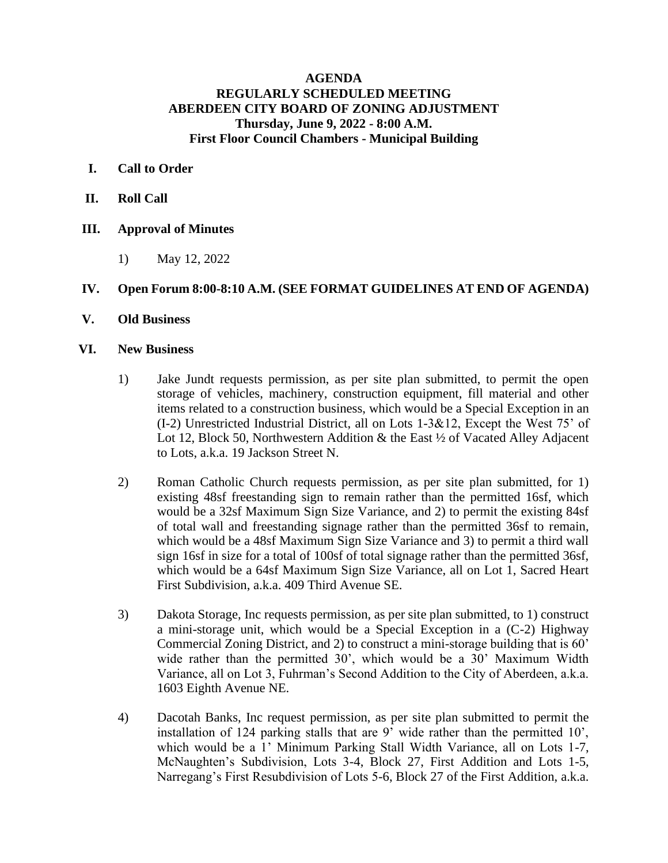# **AGENDA REGULARLY SCHEDULED MEETING ABERDEEN CITY BOARD OF ZONING ADJUSTMENT Thursday, June 9, 2022 - 8:00 A.M. First Floor Council Chambers - Municipal Building**

## **I. Call to Order**

- **II. Roll Call**
- **III. Approval of Minutes**
	- 1) May 12, 2022

# **IV. Open Forum 8:00-8:10 A.M. (SEE FORMAT GUIDELINES AT END OF AGENDA)**

**V. Old Business**

### **VI. New Business**

- 1) Jake Jundt requests permission, as per site plan submitted, to permit the open storage of vehicles, machinery, construction equipment, fill material and other items related to a construction business, which would be a Special Exception in an (I-2) Unrestricted Industrial District, all on Lots 1-3&12, Except the West 75' of Lot 12, Block 50, Northwestern Addition  $\&$  the East  $\frac{1}{2}$  of Vacated Alley Adjacent to Lots, a.k.a. 19 Jackson Street N.
- 2) Roman Catholic Church requests permission, as per site plan submitted, for 1) existing 48sf freestanding sign to remain rather than the permitted 16sf, which would be a 32sf Maximum Sign Size Variance, and 2) to permit the existing 84sf of total wall and freestanding signage rather than the permitted 36sf to remain, which would be a 48sf Maximum Sign Size Variance and 3) to permit a third wall sign 16sf in size for a total of 100sf of total signage rather than the permitted 36sf, which would be a 64sf Maximum Sign Size Variance, all on Lot 1, Sacred Heart First Subdivision, a.k.a. 409 Third Avenue SE.
- 3) Dakota Storage, Inc requests permission, as per site plan submitted, to 1) construct a mini-storage unit, which would be a Special Exception in a (C-2) Highway Commercial Zoning District, and 2) to construct a mini-storage building that is 60' wide rather than the permitted 30', which would be a 30' Maximum Width Variance, all on Lot 3, Fuhrman's Second Addition to the City of Aberdeen, a.k.a. 1603 Eighth Avenue NE.
- 4) Dacotah Banks, Inc request permission, as per site plan submitted to permit the installation of 124 parking stalls that are 9' wide rather than the permitted  $10'$ , which would be a 1' Minimum Parking Stall Width Variance, all on Lots 1-7, McNaughten's Subdivision, Lots 3-4, Block 27, First Addition and Lots 1-5, Narregang's First Resubdivision of Lots 5-6, Block 27 of the First Addition, a.k.a.